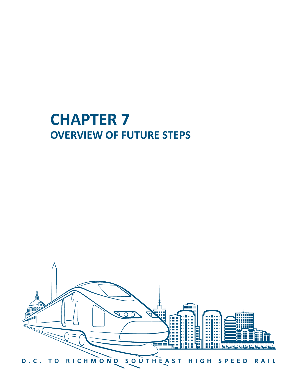# **CHAPTER 7 OVERVIEW OF FUTURE STEPS**

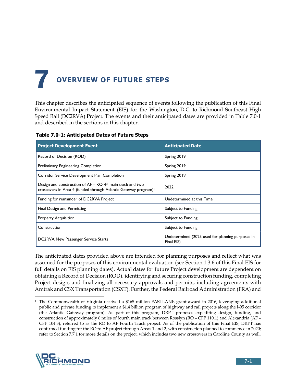## **OVERVIEW OF FUTURE STEPS**  7

This chapter describes the anticipated sequence of events following the publication of this Final Environmental Impact Statement (EIS) for the Washington, D.C. to Richmond Southeast High Speed Rail (DC2RVA) Project. The events and their anticipated dates are provided in Table 7.0-1 and described in the sections in this chapter.

| <b>Project Development Event</b>                                                                                                                       | <b>Anticipated Date</b>                                        |  |
|--------------------------------------------------------------------------------------------------------------------------------------------------------|----------------------------------------------------------------|--|
| Record of Decision (ROD)                                                                                                                               | Spring 2019                                                    |  |
| <b>Preliminary Engineering Completion</b>                                                                                                              | Spring 2019                                                    |  |
| Corridor Service Development Plan Completion                                                                                                           | Spring 2019                                                    |  |
| Design and construction of $AF - RO$ 4 <sup>th</sup> main track and two<br>crossovers in Area 4 (funded through Atlantic Gateway program) <sup>1</sup> | 2022                                                           |  |
| Funding for remainder of DC2RVA Project                                                                                                                | Undetermined at this Time                                      |  |
| Final Design and Permitting                                                                                                                            | Subject to Funding                                             |  |
| <b>Property Acquisition</b>                                                                                                                            | Subject to Funding                                             |  |
| Construction                                                                                                                                           | Subject to Funding                                             |  |
| DC2RVA New Passenger Service Starts                                                                                                                    | Undetermined (2025 used for planning purposes in<br>Final EIS) |  |

#### **Table 7.0-1: Anticipated Dates of Future Steps**

The anticipated dates provided above are intended for planning purposes and reflect what was assumed for the purposes of this environmental evaluation (see Section 1.3.6 of this Final EIS for full details on EIS planning dates). Actual dates for future Project development are dependent on obtaining a Record of Decision (ROD), identifying and securing construction funding, completing Project design, and finalizing all necessary approvals and permits, including agreements with Amtrak and CSX Transportation (CSXT). Further, the Federal Railroad Administration (FRA) and

<sup>1</sup> The Commonwealth of Virginia received a \$165 million FASTLANE grant award in 2016, leveraging additional public and private funding to implement a \$1.4 billion program of highway and rail projects along the I-95 corridor (the Atlantic Gateway program). As part of this program, DRPT proposes expediting design, funding, and construction of approximately 6 miles of fourth main track between Rosslyn (RO – CFP 110.1) and Alexandria (AF – CFP 104.3), referred to as the RO to AF Fourth Track project. As of the publication of this Final EIS, DRPT has confirmed funding for the RO to AF project through Areas 1 and 2, with construction planned to commence in 2020; refer to Section 7.7.1 for more details on the project, which includes two new crossovers in Caroline County as well.



<u>.</u>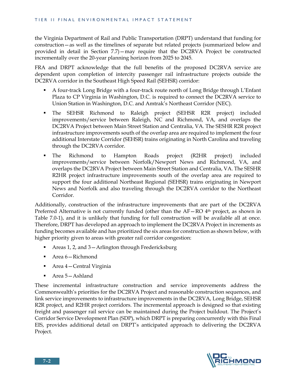the Virginia Department of Rail and Public Transportation (DRPT) understand that funding for construction—as well as the timelines of separate but related projects (summarized below and provided in detail in Section 7.7)—may require that the DC2RVA Project be constructed incrementally over the 20-year planning horizon from 2025 to 2045.

FRA and DRPT acknowledge that the full benefits of the proposed DC2RVA service are dependent upon completion of intercity passenger rail infrastructure projects outside the DC2RVA corridor in the Southeast High Speed Rail (SEHSR) corridor:

- A four-track Long Bridge with a four-track route north of Long Bridge through L'Enfant Plaza to CP Virginia in Washington, D.C. is required to connect the DC2RVA service to Union Station in Washington, D.C. and Amtrak's Northeast Corridor (NEC).
- The SEHSR Richmond to Raleigh project (SEHSR R2R project) included improvements/service between Raleigh, NC and Richmond, VA, and overlaps the DC2RVA Project between Main Street Station and Centralia, VA. The SESHR R2R project infrastructure improvements south of the overlap area are required to implement the four additional Interstate Corridor (SEHSR) trains originating in North Carolina and traveling through the DC2RVA corridor.
- The Richmond to Hampton Roads project (R2HR project) included improvements/service between Norfolk/Newport News and Richmond, VA, and overlaps the DC2RVA Project between Main Street Station and Centralia, VA. The SESHR R2HR project infrastructure improvements south of the overlap area are required to support the four additional Northeast Regional (SEHSR) trains originating in Newport News and Norfolk and also traveling through the DC2RVA corridor to the Northeast Corridor.

Additionally, construction of the infrastructure improvements that are part of the DC2RVA Preferred Alternative is not currently funded (other than the  $AF-RO$  4<sup>th</sup> project, as shown in Table 7.0-1), and it is unlikely that funding for full construction will be available all at once. Therefore, DRPT has developed an approach to implement the DC2RVA Project in increments as funding becomes available and has prioritized the six areas for construction as shown below, with higher priority given to areas with greater rail corridor congestion:

- Areas 1, 2, and 3—Arlington through Fredericksburg
- Area 6 Richmond
- Area 4 Central Virginia
- Area 5—Ashland

These incremental infrastructure construction and service improvements address the Commonwealth's priorities for the DC2RVA Project and reasonable construction sequences, and link service improvements to infrastructure improvements in the DC2RVA, Long Bridge, SEHSR R2R project, and R2HR project corridors. The incremental approach is designed so that existing freight and passenger rail service can be maintained during the Project buildout. The Project's Corridor Service Development Plan (SDP), which DRPT is preparing concurrently with this Final EIS, provides additional detail on DRPT's anticipated approach to delivering the DC2RVA Project.

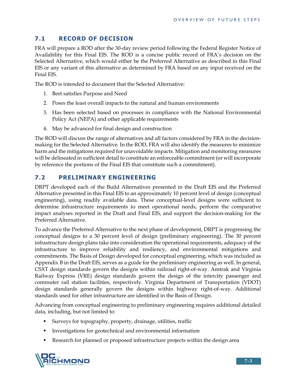#### **7.1 RECORD OF DECISION**

FRA will prepare a ROD after the 30-day review period following the Federal Register Notice of Availability for this Final EIS. The ROD is a concise public record of FRA's decision on the Selected Alternative, which would either be the Preferred Alternative as described in this Final EIS or any variant of this alternative as determined by FRA based on any input received on the Final EIS.

The ROD is intended to document that the Selected Alternative:

- 1. Best satisfies Purpose and Need
- 2. Poses the least overall impacts to the natural and human environments
- 3. Has been selected based on processes in compliance with the National Environmental Policy Act (NEPA) and other applicable requirements
- 4. May be advanced for final design and construction

The ROD will discuss the range of alternatives and all factors considered by FRA in the decisionmaking for the Selected Alternative. In the ROD, FRA will also identify the measures to minimize harm and the mitigations required for unavoidable impacts. Mitigation and monitoring measures will be delineated in sufficient detail to constitute an enforceable commitment (or will incorporate by reference the portions of the Final EIS that constitute such a commitment).

#### **7.2 PRELIMINARY ENGINEERING**

DRPT developed each of the Build Alternatives presented in the Draft EIS and the Preferred Alternative presented in this Final EIS to an approximately 10 percent level of design (conceptual engineering), using readily available data. These conceptual-level designs were sufficient to determine infrastructure requirements to meet operational needs, perform the comparative impact analyses reported in the Draft and Final EIS, and support the decision-making for the Preferred Alternative.

To advance the Preferred Alternative to the next phase of development, DRPT is progressing the conceptual designs to a 30 percent level of design (preliminary engineering). The 30 percent infrastructure design plans take into consideration the operational requirements, adequacy of the infrastructure to improve reliability and resiliency, and environmental mitigations and commitments. The Basis of Design developed for conceptual engineering, which was included as Appendix B in the Draft EIS, serves as a guide for the preliminary engineering as well. In general, CSXT design standards govern the designs within railroad right-of-way. Amtrak and Virginia Railway Express (VRE) design standards govern the design of the intercity passenger and commuter rail station facilities, respectively. Virginia Department of Transportation (VDOT) design standards generally govern the designs within highway right-of-way. Additional standards used for other infrastructure are identified in the Basis of Design.

Advancing from conceptual engineering to preliminary engineering requires additional detailed data, including, but not limited to:

- Surveys for topography, property, drainage, utilities, traffic
- **Investigations for geotechnical and environmental information**
- Research for planned or proposed infrastructure projects within the design area

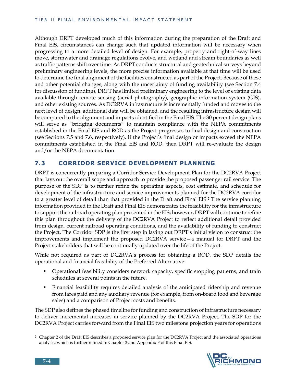Although DRPT developed much of this information during the preparation of the Draft and Final EIS, circumstances can change such that updated information will be necessary when progressing to a more detailed level of design. For example, property and right-of-way lines move, stormwater and drainage regulations evolve, and wetland and stream boundaries as well as traffic patterns shift over time. As DRPT conducts structural and geotechnical surveys beyond preliminary engineering levels, the more precise information available at that time will be used to determine the final alignment of the facilities constructed as part of the Project. Because of these and other potential changes, along with the uncertainty of funding availability (see Section 7.4 for discussion of funding), DRPT has limited preliminary engineering to the level of existing data available through remote sensing (aerial photography), geographic information system (GIS), and other existing sources. As DC2RVA infrastructure is incrementally funded and moves to the next level of design, additional data will be obtained, and the resulting infrastructure design will be compared to the alignment and impacts identified in the Final EIS. The 30 percent design plans will serve as "bridging documents" to maintain compliance with the NEPA commitments established in the Final EIS and ROD as the Project progresses to final design and construction (see Sections 7.5 and 7.6, respectively). If the Project's final design or impacts exceed the NEPA commitments established in the Final EIS and ROD, then DRPT will re-evaluate the design and/or the NEPA documentation.

#### **7.3 CORRIDOR SERVICE DEVELOPMENT PLANNING**

DRPT is concurrently preparing a Corridor Service Development Plan for the DC2RVA Project that lays out the overall scope and approach to provide the proposed passenger rail service. The purpose of the SDP is to further refine the operating aspects, cost estimate, and schedule for development of the infrastructure and service improvements planned for the DC2RVA corridor to a greater level of detail than that provided in the Draft and Final EIS.2 The service planning information provided in the Draft and Final EIS demonstrates the feasibility for the infrastructure to support the railroad operating plan presented in the EIS; however, DRPT will continue to refine this plan throughout the delivery of the DC2RVA Project to reflect additional detail provided from design, current railroad operating conditions, and the availability of funding to construct the Project. The Corridor SDP is the first step in laying out DRPT's initial vision to construct the improvements and implement the proposed DC2RVA service—a manual for DRPT and the Project stakeholders that will be continually updated over the life of the Project.

While not required as part of DC2RVA's process for obtaining a ROD, the SDP details the operational and financial feasibility of the Preferred Alternative:

- **•** Operational feasibility considers network capacity, specific stopping patterns, and train schedules at several points in the future.
- Financial feasibility requires detailed analysis of the anticipated ridership and revenue from fares paid and any auxiliary revenue (for example, from on-board food and beverage sales) and a comparison of Project costs and benefits.

The SDP also defines the phased timeline for funding and construction of infrastructure necessary to deliver incremental increases in service planned by the DC2RVA Project. The SDP for the DC2RVA Project carries forward from the Final EIS two milestone projection years for operations

<sup>2</sup> Chapter 2 of the Draft EIS describes a proposed service plan for the DC2RVA Project and the associated operations analysis, which is further refined in Chapter 3 and Appendix F of this Final EIS.

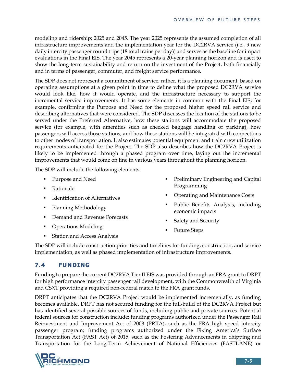modeling and ridership: 2025 and 2045. The year 2025 represents the assumed completion of all infrastructure improvements and the implementation year for the DC2RVA service (i.e., 9 new daily intercity passenger round trips (18 total trains per day)) and serves as the baseline for impact evaluations in the Final EIS. The year 2045 represents a 20-year planning horizon and is used to show the long-term sustainability and return on the investment of the Project, both financially and in terms of passenger, commuter, and freight service performance.

The SDP does not represent a commitment of service; rather, it is a planning document, based on operating assumptions at a given point in time to define what the proposed DC2RVA service would look like, how it would operate, and the infrastructure necessary to support the incremental service improvements. It has some elements in common with the Final EIS; for example, confirming the Purpose and Need for the proposed higher speed rail service and describing alternatives that were considered. The SDP discusses the location of the stations to be served under the Preferred Alternative, how these stations will accommodate the proposed service (for example, with amenities such as checked baggage handling or parking), how passengers will access those stations, and how these stations will be integrated with connections to other modes of transportation. It also estimates potential equipment and train crew utilization requirements anticipated for the Project. The SDP also describes how the DC2RVA Project is likely to be implemented through a phased program over time, laying out the incremental improvements that would come on line in various years throughout the planning horizon.

The SDP will include the following elements:

- Purpose and Need
- **Rationale**
- **IDENTIFICATION OF Alternatives**
- Planning Methodology
- **•** Demand and Revenue Forecasts
- Operations Modeling
- **•** Preliminary Engineering and Capital Programming
- **•** Operating and Maintenance Costs
- Public Benefits Analysis, including economic impacts
- Safety and Security
- Future Steps

Station and Access Analysis

The SDP will include construction priorities and timelines for funding, construction, and service implementation, as well as phased implementation of infrastructure improvements.

### **7.4 FUNDING**

Funding to prepare the current DC2RVA Tier II EIS was provided through an FRA grant to DRPT for high performance intercity passenger rail development, with the Commonwealth of Virginia and CSXT providing a required non-federal match to the FRA grant funds.

DRPT anticipates that the DC2RVA Project would be implemented incrementally, as funding becomes available. DRPT has not secured funding for the full-build of the DC2RVA Project but has identified several possible sources of funds, including public and private sources. Potential federal sources for construction include: funding programs authorized under the Passenger Rail Reinvestment and Improvement Act of 2008 (PRIIA), such as the FRA high speed intercity passenger program; funding programs authorized under the Fixing America's Surface Transportation Act (FAST Act) of 2015, such as the Fostering Advancements in Shipping and Transportation for the Long-Term Achievement of National Efficiencies (FASTLANE) or

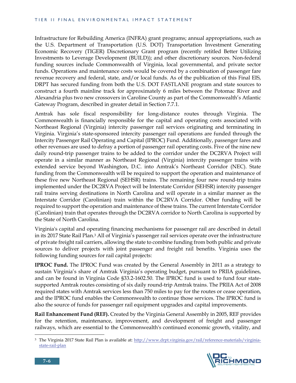Infrastructure for Rebuilding America (INFRA) grant programs; annual appropriations, such as the U.S. Department of Transportation (U.S. DOT) Transportation Investment Generating Economic Recovery (TIGER) Discretionary Grant program (recently retitled Better Utilizing Investments to Leverage Development (BUILD)); and other discretionary sources. Non-federal funding sources include Commonwealth of Virginia, local governmental, and private sector funds. Operations and maintenance costs would be covered by a combination of passenger fare revenue recovery and federal, state, and/or local funds. As of the publication of this Final EIS, DRPT has secured funding from both the U.S. DOT FASTLANE program and state sources to construct a fourth mainline track for approximately 6 miles between the Potomac River and Alexandria plus two new crossovers in Caroline County as part of the Commonwealth's Atlantic Gateway Program, described in greater detail in Section 7.7.1.

Amtrak has sole fiscal responsibility for long-distance routes through Virginia. The Commonwealth is financially responsible for the capital and operating costs associated with Northeast Regional (Virginia) intercity passenger rail services originating and terminating in Virginia. Virginia's state-sponsored intercity passenger rail operations are funded through the Intercity Passenger Rail Operating and Capital (IPROC) Fund. Additionally, passenger fares and other revenues are used to defray a portion of passenger rail operating costs. Five of the nine new daily round-trip passenger trains to be added to the corridor under the DC2RVA Project will operate in a similar manner as Northeast Regional (Virginia) intercity passenger trains with extended service beyond Washington, D.C. into Amtrak's Northeast Corridor (NEC). State funding from the Commonwealth will be required to support the operation and maintenance of these five new Northeast Regional (SEHSR) trains. The remaining four new round-trip trains implemented under the DC2RVA Project will be Interstate Corridor (SEHSR) intercity passenger rail trains serving destinations in North Carolina and will operate in a similar manner as the Interstate Corridor (Carolinian) train within the DC2RVA Corridor. Other funding will be required to support the operation and maintenance of these trains. The current Interstate Corridor (Carolinian) train that operates through the DC2RVA corridor to North Carolina is supported by the State of North Carolina.

Virginia's capital and operating financing mechanisms for passenger rail are described in detail in its 2017 State Rail Plan.3 All of Virginia's passenger rail services operate over the infrastructure of private freight rail carriers, allowing the state to combine funding from both public and private sources to deliver projects with joint passenger and freight rail benefits. Virginia uses the following funding sources for rail capital projects:

**IPROC Fund.** The IPROC Fund was created by the General Assembly in 2011 as a strategy to sustain Virginia's share of Amtrak Virginia's operating budget, pursuant to PRIIA guidelines, and can be found in Virginia Code §33.2-1602.50. The IPROC fund is used to fund four statesupported Amtrak routes consisting of six daily round-trip Amtrak trains. The PRIIA Act of 2008 required states with Amtrak services less than 750 miles to pay for the routes or cease operation, and the IPROC fund enables the Commonwealth to continue those services. The IPROC fund is also the source of funds for passenger rail equipment upgrades and capital improvements.

**Rail Enhancement Fund (REF).** Created by the Virginia General Assembly in 2005, REF provides for the retention, maintenance, improvement, and development of freight and passenger railways, which are essential to the Commonwealth's continued economic growth, vitality, and

<sup>&</sup>lt;sup>3</sup> The Virginia 2017 State Rail Plan is available at: http://www.drpt.virginia.gov/rail/reference-materials/virginiastate-rail-plan



<u>.</u>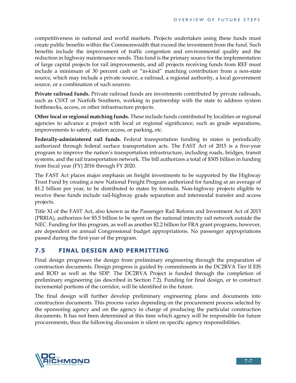competitiveness in national and world markets. Projects undertaken using these funds must create public benefits within the Commonwealth that exceed the investment from the fund. Such benefits include the improvement of traffic congestion and environmental quality and the reduction in highway maintenance needs. This fund is the primary source for the implementation of large capital projects for rail improvements, and all projects receiving funds from REF must include a minimum of 30 percent cash or "in-kind" matching contribution from a non-state source, which may include a private source, a railroad, a regional authority, a local government source, or a combination of such sources.

**Private railroad funds.** Private railroad funds are investments contributed by private railroads, such as CSXT or Norfolk Southern, working in partnership with the state to address system bottlenecks, access, or other infrastructure projects.

**Other local or regional matching funds.** These include funds contributed by localities or regional agencies to advance a project with local or regional significance, such as grade separations, improvements to safety, station access, or parking, etc.

**Federally-administered rail funds.** Federal transportation funding to states is periodically authorized through federal surface transportation acts. The FAST Act of 2015 is a five-year program to improve the nation's transportation infrastructure, including roads, bridges, transit systems, and the rail transportation network. The bill authorizes a total of \$305 billion in funding from fiscal year (FY) 2016 through FY 2020.

The FAST Act places major emphasis on freight investments to be supported by the Highway Trust Fund by creating a new National Freight Program authorized for funding at an average of \$1.2 billion per year, to be distributed to states by formula. Non-highway projects eligible to receive these funds include rail-highway grade separation and intermodal transfer and access projects.

Title XI of the FAST Act, also known as the Passenger Rail Reform and Investment Act of 2015 (PRRIA), authorizes for \$5.5 billion to be spent on the national intercity rail network outside the NEC. Funding for this program, as well as another \$2.2 billion for FRA grant programs, however, are dependent on annual Congressional budget appropriations. No passenger appropriations passed during the first year of the program.

#### **7.5 FINAL DESIGN AND PERMITTING**

Final design progresses the design from preliminary engineering through the preparation of construction documents. Design progress is guided by commitments in the DC2RVA Tier II EIS and ROD as well as the SDP. The DC2RVA Project is funded through the completion of preliminary engineering (as described in Section 7.2). Funding for final design, or to construct incremental portions of the corridor, will be identified in the future.

The final design will further develop preliminary engineering plans and documents into construction documents. This process varies depending on the procurement process selected by the sponsoring agency and on the agency in charge of producing the particular construction documents. It has not been determined at this time which agency will be responsible for future procurements, thus the following discussion is silent on specific agency responsibilities.

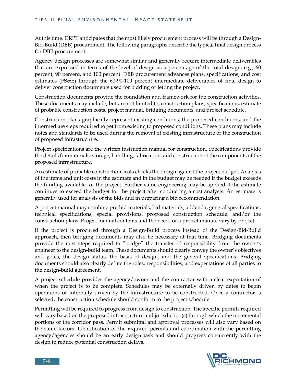At this time, DRPT anticipates that the most likely procurement process will be through a Design-Bid-Build (DBB) procurement. The following paragraphs describe the typical final design process for DBB procurement.

Agency design processes are somewhat similar and generally require intermediate deliverables that are expressed in terms of the level of design as a percentage of the total design, e.g., 60 percent, 90 percent, and 100 percent. DBB procurement advances plans, specifications, and cost estimates (PS&E) through the 60-90-100 percent intermediate deliverables of final design to deliver construction documents used for bidding or letting the project.

Construction documents provide the foundation and framework for the construction activities. These documents may include, but are not limited to, construction plans, specifications, estimate of probable construction costs, project manual, bridging documents, and project schedule.

Construction plans graphically represent existing conditions, the proposed conditions, and the intermediate steps required to get from existing to proposed conditions. These plans may include notes and standards to be used during the removal of existing infrastructure or the construction of proposed infrastructure.

Project specifications are the written instruction manual for construction. Specifications provide the details for materials, storage, handling, fabrication, and construction of the components of the proposed infrastructure.

An estimate of probable construction costs checks the design against the project budget. Analysis of the items and unit costs in the estimate and in the budget may be needed if the budget exceeds the funding available for the project. Further value engineering may be applied if the estimate continues to exceed the budget for the project after conducting a cost analysis. An estimate is generally used for analysis of the bids and in preparing a bid recommendation.

A project manual may combine pre-bid materials, bid materials, addenda, general specifications, technical specifications, special provisions, proposed construction schedule, and/or the construction plans. Project manual contents and the need for a project manual vary by project.

If the project is procured through a Design-Build process instead of the Design-Bid-Build approach, then bridging documents may also be necessary at that time. Bridging documents provide the next steps required to "bridge" the transfer of responsibility from the owner's engineer to the design-build team. These documents should clearly convey the owner's objectives and goals, the design status, the basis of design, and the general specifications. Bridging documents should also clearly define the roles, responsibilities, and expectations of all parties to the design-build agreement.

A project schedule provides the agency/owner and the contractor with a clear expectation of when the project is to be complete. Schedules may be externally driven by dates to begin operations or internally driven by the infrastructure to be constructed. Once a contractor is selected, the construction schedule should conform to the project schedule.

Permitting will be required to progress from design to construction. The specific permits required will vary based on the proposed infrastructure and jurisdiction(s) through which the incremental portions of the corridor pass. Permit submittal and approval processes will also vary based on the same factors. Identification of the required permits and coordination with the permitting agency/agencies should be an early design task and should progress concurrently with the design to reduce potential construction delays.

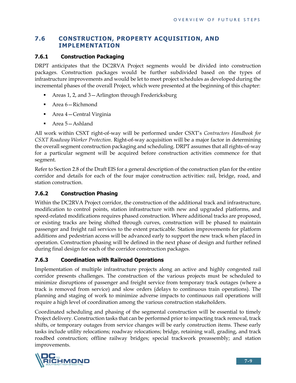#### **7.6 CONSTRUCTION, PROPERTY ACQUISITION, AND IMPLEMENTATION**

#### **7.6.1 Construction Packaging**

DRPT anticipates that the DC2RVA Project segments would be divided into construction packages. Construction packages would be further subdivided based on the types of infrastructure improvements and would be let to meet project schedules as developed during the incremental phases of the overall Project, which were presented at the beginning of this chapter:

- Areas 1, 2, and 3—Arlington through Fredericksburg
- Area 6—Richmond
- Area 4 Central Virginia
- Area 5—Ashland

All work within CSXT right-of-way will be performed under CSXT's *Contractors Handbook for CSXT Roadway Worker Protection*. Right-of-way acquisition will be a major factor in determining the overall segment construction packaging and scheduling. DRPT assumes that all rights-of-way for a particular segment will be acquired before construction activities commence for that segment.

Refer to Section 2.8 of the Draft EIS for a general description of the construction plan for the entire corridor and details for each of the four major construction activities: rail, bridge, road, and station construction.

#### **7.6.2 Construction Phasing**

Within the DC2RVA Project corridor, the construction of the additional track and infrastructure, modification to control points, station infrastructure with new and upgraded platforms, and speed-related modifications requires phased construction. Where additional tracks are proposed, or existing tracks are being shifted through curves, construction will be phased to maintain passenger and freight rail services to the extent practicable. Station improvements for platform additions and pedestrian access will be advanced early to support the new track when placed in operation. Construction phasing will be defined in the next phase of design and further refined during final design for each of the corridor construction packages.

#### **7.6.3 Coordination with Railroad Operations**

Implementation of multiple infrastructure projects along an active and highly congested rail corridor presents challenges. The construction of the various projects must be scheduled to minimize disruptions of passenger and freight service from temporary track outages (where a track is removed from service) and slow orders (delays to continuous train operations). The planning and staging of work to minimize adverse impacts to continuous rail operations will require a high level of coordination among the various construction stakeholders.

Coordinated scheduling and phasing of the segmental construction will be essential to timely Project delivery. Construction tasks that can be performed prior to impacting track removal, track shifts, or temporary outages from service changes will be early construction items. These early tasks include utility relocations; roadway relocations; bridge, retaining wall, grading, and track roadbed construction; offline railway bridges; special trackwork preassembly; and station improvements.

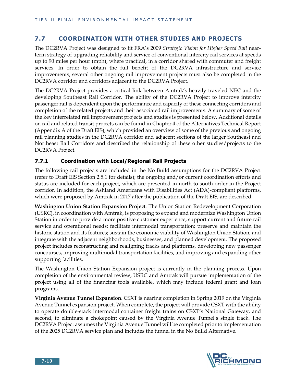#### **7.7 COORDINATION WITH OTHER STUDIES AND PROJECTS**

The DC2RVA Project was designed to fit FRA's 2009 *Strategic Vision for Higher Speed Rail* nearterm strategy of upgrading reliability and service of conventional intercity rail services at speeds up to 90 miles per hour (mph), where practical, in a corridor shared with commuter and freight services. In order to obtain the full benefit of the DC2RVA infrastructure and service improvements, several other ongoing rail improvement projects must also be completed in the DC2RVA corridor and corridors adjacent to the DC2RVA Project.

The DC2RVA Project provides a critical link between Amtrak's heavily traveled NEC and the developing Southeast Rail Corridor. The ability of the DC2RVA Project to improve intercity passenger rail is dependent upon the performance and capacity of these connecting corridors and completion of the related projects and their associated rail improvements. A summary of some of the key interrelated rail improvement projects and studies is presented below. Additional details on rail and related transit projects can be found in Chapter 4 of the Alternatives Technical Report (Appendix A of the Draft EIS), which provided an overview of some of the previous and ongoing rail planning studies in the DC2RVA corridor and adjacent sections of the larger Southeast and Northeast Rail Corridors and described the relationship of these other studies/projects to the DC2RVA Project.

#### **7.7.1 Coordination with Local/Regional Rail Projects**

The following rail projects are included in the No Build assumptions for the DC2RVA Project (refer to Draft EIS Section 2.5.1 for details); the ongoing and/or current coordination efforts and status are included for each project, which are presented in north to south order in the Project corridor. In addition, the Ashland Americans with Disabilities Act (ADA)-compliant platforms, which were proposed by Amtrak in 2017 after the publication of the Draft EIS, are described.

**Washington Union Station Expansion Project**. The Union Station Redevelopment Corporation (USRC), in coordination with Amtrak, is proposing to expand and modernize Washington Union Station in order to provide a more positive customer experience; support current and future rail service and operational needs; facilitate intermodal transportation; preserve and maintain the historic station and its features; sustain the economic viability of Washington Union Station; and integrate with the adjacent neighborhoods, businesses, and planned development. The proposed project includes reconstructing and realigning tracks and platforms, developing new passenger concourses, improving multimodal transportation facilities, and improving and expanding other supporting facilities.

The Washington Union Station Expansion project is currently in the planning process. Upon completion of the environmental review, USRC and Amtrak will pursue implementation of the project using all of the financing tools available, which may include federal grant and loan programs.

**Virginia Avenue Tunnel Expansion**. CSXT is nearing completion in Spring 2019 on the Virginia Avenue Tunnel expansion project. When complete, the project will provide CSXT with the ability to operate double-stack intermodal container freight trains on CSXT's National Gateway, and second, to eliminate a chokepoint caused by the Virginia Avenue Tunnel's single track. The DC2RVA Project assumes the Virginia Avenue Tunnel will be completed prior to implementation of the 2025 DC2RVA service plan and includes the tunnel in the No Build Alternative.

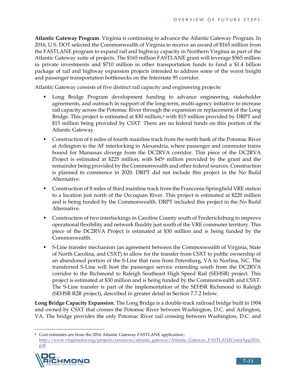**Atlantic Gateway Program**. Virginia is continuing to advance the Atlantic Gateway Program. In 2016, U.S. DOT selected the Commonwealth of Virginia to receive an award of \$165 million from the FASTLANE program to expand rail and highway capacity in Northern Virginia as part of the Atlantic Gateway suite of projects. The \$165 million FASTLANE grant will leverage \$565 million in private investments and \$710 million in other transportation funds to fund a \$1.4 billion package of rail and highway expansion projects intended to address some of the worst freight and passenger transportation bottlenecks on the Interstate 95 corridor.

Atlantic Gateway consists of five distinct rail capacity and engineering projects:

- Long Bridge Program development funding to advance engineering, stakeholder agreements, and outreach in support of the long-term, multi-agency initiative to increase rail capacity across the Potomac River through the expansion or replacement of the Long Bridge. This project is estimated at \$30 million,<sup>4</sup> with \$15 million provided by DRPT and \$15 million being provided by CSXT. There are no federal funds on this portion of the Atlantic Gateway.
- Construction of 6 miles of fourth mainline track from the north bank of the Potomac River at Arlington to the AF interlocking in Alexandria, where passenger and commuter trains bound for Manassas diverge from the DC2RVA corridor. This piece of the DC2RVA Project is estimated at \$225 million, with \$454 million provided by the grant and the remainder being provided by the Commonwealth and other federal sources. Construction is planned to commence in 2020. DRPT did not include this project in the No Build Alternative.
- Construction of 8 miles of third mainline track from the Franconia-Springfield VRE station to a location just north of the Occoquan River. This project is estimated at \$220 million and is being funded by the Commonwealth. DRPT included this project in the No Build Alternative.
- **Construction of two interlockings in Caroline County south of Fredericksburg to improve** operational flexibility and network fluidity just south of the VRE commuter territory. This piece of the DC2RVA Project is estimated at \$30 million and is being funded by the Commonwealth.
- S-Line transfer mechanism (an agreement between the Commonwealth of Virginia, State of North Carolina, and CSXT) to allow for the transfer from CSXT to public ownership of an abandoned portion of the S-Line that runs from Petersburg, VA to Norlina, NC. The transferred S-Line will host the passenger service extending south from the DC2RVA corridor to the Richmond to Raleigh Southeast High Speed Rail (SEHSR) project. This project is estimated at \$30 million and is being funded by the Commonwealth and CSXT. The S-Line transfer is part of the implementation of the SEHSR Richmond to Raleigh (SEHSR R2R project), described in greater detail in Section 7.7.2 below.

**Long Bridge Capacity Expansion**. The Long Bridge is a double-track railroad bridge built in 1904 and owned by CSXT that crosses the Potomac River between Washington, D.C. and Arlington, VA. The bridge provides the only Potomac River rail crossing between Washington, D.C. and

<sup>4</sup> Cost estimates are from the 2016 Atlantic Gateway FASTLANE application:: http://www.virginiadot.org/projects/resources/atlantic\_gateway/Atlantic\_Gateway\_FASTLANEGrantApp2016. pdf



 $\ddot{\phantom{a}}$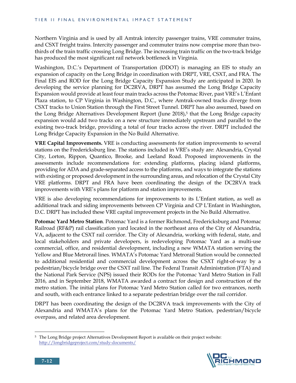Northern Virginia and is used by all Amtrak intercity passenger trains, VRE commuter trains, and CSXT freight trains. Intercity passenger and commuter trains now comprise more than twothirds of the train traffic crossing Long Bridge. The increasing train traffic on the two-track bridge has produced the most significant rail network bottleneck in Virginia.

Washington, D.C.'s Department of Transportation (DDOT) is managing an EIS to study an expansion of capacity on the Long Bridge in coordination with DRPT, VRE, CSXT, and FRA. The Final EIS and ROD for the Long Bridge Capacity Expansion Study are anticipated in 2020. In developing the service planning for DC2RVA, DRPT has assumed the Long Bridge Capacity Expansion would provide at least four main tracks across the Potomac River, past VRE's L'Enfant Plaza station, to CP Virginia in Washington, D.C., where Amtrak-owned tracks diverge from CSXT tracks to Union Station through the First Street Tunnel. DRPT has also assumed, based on the Long Bridge Alternatives Development Report (June 2018),<sup>5</sup> that the Long Bridge capacity expansion would add two tracks on a new structure immediately upstream and parallel to the existing two-track bridge, providing a total of four tracks across the river. DRPT included the Long Bridge Capacity Expansion in the No Build Alternative.

**VRE Capital Improvements.** VRE is conducting assessments for station improvements to several stations on the Fredericksburg line. The stations included in VRE's study are: Alexandria, Crystal City, Lorton, Rippon, Quantico, Brooke, and Leeland Road. Proposed improvements in the assessments include recommendations for: extending platforms, placing island platforms, providing for ADA and grade-separated access to the platforms, and ways to integrate the stations with existing or proposed development in the surrounding areas, and relocation of the Crystal City VRE platforms. DRPT and FRA have been coordinating the design of the DC2RVA track improvements with VRE's plans for platform and station improvements.

VRE is also developing recommendations for improvements to its L'Enfant station, as well as additional track and siding improvements between CP Virginia and CP L'Enfant in Washington, D.C. DRPT has included these VRE capital improvement projects in the No Build Alternative.

**Potomac Yard Metro Station**. Potomac Yard is a former Richmond, Fredericksburg and Potomac Railroad (RF&P) rail classification yard located in the northeast area of the City of Alexandria, VA, adjacent to the CSXT rail corridor. The City of Alexandria, working with federal, state, and local stakeholders and private developers, is redeveloping Potomac Yard as a multi-use commercial, office, and residential development, including a new WMATA station serving the Yellow and Blue Metrorail lines. WMATA's Potomac Yard Metrorail Station would be connected to additional residential and commercial development across the CSXT right-of-way by a pedestrian/bicycle bridge over the CSXT rail line. The Federal Transit Administration (FTA) and the National Park Service (NPS) issued their RODs for the Potomac Yard Metro Station in Fall 2016, and in September 2018, WMATA awarded a contract for design and construction of the metro station. The initial plans for Potomac Yard Metro Station called for two entrances, north and south, with each entrance linked to a separate pedestrian bridge over the rail corridor.

DRPT has been coordinating the design of the DC2RVA track improvements with the City of Alexandria and WMATA's plans for the Potomac Yard Metro Station, pedestrian/bicycle overpass, and related area development.

<sup>5</sup> The Long Bridge project Alternatives Development Report is available on their project website: http://longbridgeproject.com/study-documents/

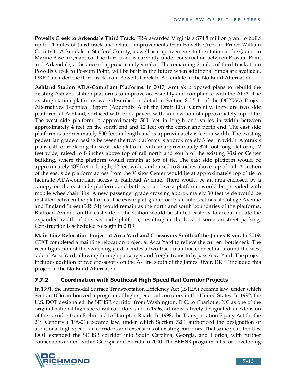**Powells Creek to Arkendale Third Track.** FRA awarded Virginia a \$74.8 million grant to build up to 11 miles of third track and related improvements from Powells Creek in Prince William County to Arkendale in Stafford County, as well as improvements to the station at the Quantico Marine Base in Quantico. The third track is currently under construction between Possum Point and Arkendale; a distance of approximately 9 miles. The remaining 2 miles of third track, from Powells Creek to Possum Point, will be built in the future when additional funds are available. DRPT included the third track from Powells Creek to Arkendale in the No Build Alternative.

**Ashland Station ADA-Compliant Platforms.** In 2017, Amtrak proposed plans to rebuild the existing Ashland station platforms to improve accessibility and compliance with the ADA. The existing station platforms were described in detail in Section 8.3.5.11 of the DC2RVA Project Alternatives Technical Report (Appendix A of the Draft EIS). Currently, there are two side platforms at Ashland, surfaced with brick pavers with an elevation of approximately top of tie. The west side platform is approximately 500 feet in length and varies in width between approximately 4 feet on the south end and 12 feet on the center and north end. The east side platform is approximately 500 feet in length and is approximately 6 feet in width. The existing pedestrian grade crossing between the two platforms is approximately 3 feet in width. Amtrak's plans call for replacing the west side platform with an approximately 374-foot-long platform, 12 feet wide, raised to 8 inches above top of rail north and south of the existing Visitor Center building, where the platform would remain at top of tie. The east side platform would be approximately 487 feet in length, 12 feet wide, and raised to 8 inches above top of rail. A section of the east side platform across from the Visitor Center would be at approximately top of tie to facilitate ADA-compliant access to Railroad Avenue. There would be an area enclosed by a canopy on the east side platform, and both east and west platforms would be provided with mobile wheelchair lifts. A new passenger grade crossing approximately 30 feet wide would be installed between the platforms. The existing at-grade road/rail intersections at College Avenue and England Street (S.R. 54) would remain as the north and south boundaries of the platforms. Railroad Avenue on the east side of the station would be shifted easterly to accommodate the expanded width of the east side platform, resulting in the loss of some on-street parking. Construction is scheduled to begin in 2019.

**Main Line Relocation Project at Acca Yard and Crossovers South of the James River.** In 2019, CSXT completed a mainline relocation project at Acca Yard to relieve the current bottleneck. The reconfiguration of the switching yard incudes a two track mainline connection around the west side of Acca Yard, allowing through passenger and freight trains to bypass Acca Yard. The project includes addition of two crossovers on the A-Line south of the James River. DRPT included this project in the No Build Alternative.

#### **7.7.2 Coordination with Southeast High Speed Rail Corridor Projects**

In 1991, the Intermodal Surface Transportation Efficiency Act (ISTEA) became law, under which Section 1036 authorized a program of high speed rail corridors in the United States. In 1992, the U.S. DOT designated the SEHSR corridor from Washington, D.C. to Charlotte, NC as one of the original national high speed rail corridors, and in 1996, administratively designated an extension of the corridor from Richmond to Hampton Roads. In 1998, the Transportation Equity Act for the 21st Century (TEA-21) became law, under which Section 7201 authorized the designation of additional high speed rail corridors and extensions of existing corridors. That same year, the U.S. DOT extended the SEHSR corridor into South Carolina, Georgia, and Florida, with further connections added within Georgia and Florida in 2000. The SEHSR program calls for developing

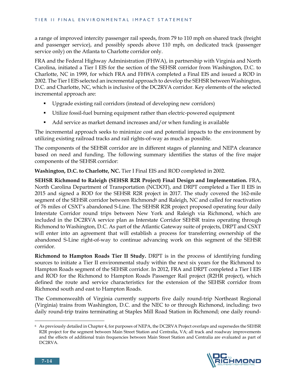a range of improved intercity passenger rail speeds, from 79 to 110 mph on shared track (freight and passenger service), and possibly speeds above 110 mph, on dedicated track (passenger service only) on the Atlanta to Charlotte corridor only.

FRA and the Federal Highway Administration (FHWA), in partnership with Virginia and North Carolina, initiated a Tier I EIS for the section of the SEHSR corridor from Washington, D.C. to Charlotte, NC in 1999, for which FRA and FHWA completed a Final EIS and issued a ROD in 2002. The Tier I EIS selected an incremental approach to develop the SEHSR between Washington, D.C. and Charlotte, NC, which is inclusive of the DC2RVA corridor. Key elements of the selected incremental approach are:

- Upgrade existing rail corridors (instead of developing new corridors)
- Utilize fossil-fuel burning equipment rather than electric-powered equipment
- Add service as market demand increases and/or when funding is available

The incremental approach seeks to minimize cost and potential impacts to the environment by utilizing existing railroad tracks and rail rights-of-way as much as possible.

The components of the SEHSR corridor are in different stages of planning and NEPA clearance based on need and funding. The following summary identifies the status of the five major components of the SEHSR corridor:

**Washington, D.C. to Charlotte, NC.** Tier I Final EIS and ROD completed in 2002.

**SEHSR Richmond to Raleigh (SEHSR R2R Project) Final Design and Implementation.** FRA, North Carolina Department of Transportation (NCDOT), and DRPT completed a Tier II EIS in 2015 and signed a ROD for the SEHSR R2R project in 2017. The study covered the 162-mile segment of the SEHSR corridor between Richmond<sup>6</sup> and Raleigh, NC and called for reactivation of 76 miles of CSXT's abandoned S-Line. The SEHSR R2R project proposed operating four daily Interstate Corridor round trips between New York and Raleigh via Richmond, which are included in the DC2RVA service plan as Interstate Corridor SEHSR trains operating through Richmond to Washington, D.C. As part of the Atlantic Gateway suite of projects, DRPT and CSXT will enter into an agreement that will establish a process for transferring ownership of the abandoned S-Line right-of-way to continue advancing work on this segment of the SEHSR corridor.

**Richmond to Hampton Roads Tier II Study.** DRPT is in the process of identifying funding sources to initiate a Tier II environmental study within the next six years for the Richmond to Hampton Roads segment of the SEHSR corridor. In 2012, FRA and DRPT completed a Tier I EIS and ROD for the Richmond to Hampton Roads Passenger Rail project (R2HR project), which defined the route and service characteristics for the extension of the SEHSR corridor from Richmond south and east to Hampton Roads.

The Commonwealth of Virginia currently supports five daily round-trip Northeast Regional (Virginia) trains from Washington, D.C. and the NEC to or through Richmond, including: two daily round-trip trains terminating at Staples Mill Road Station in Richmond; one daily round-

<sup>6</sup> As previously detailed in Chapter 4, for purposes of NEPA, the DC2RVA Project overlaps and supersedes the SEHSR R2R project for the segment between Main Street Station and Centralia, VA; all track and roadway improvements and the effects of additional train frequencies between Main Street Station and Centralia are evaluated as part of DC2RVA.

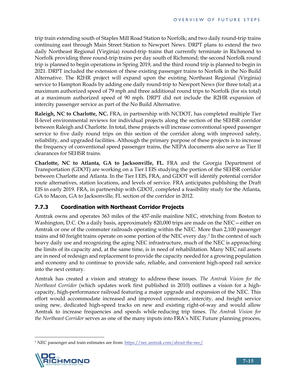trip train extending south of Staples Mill Road Station to Norfolk; and two daily round-trip trains continuing east through Main Street Station to Newport News. DRPT plans to extend the two daily Northeast Regional (Virginia) round-trip trains that currently terminate in Richmond to Norfolk providing three round-trip trains per day south of Richmond; the second Norfolk round trip is planned to begin operations in Spring 2019, and the third round trip is planned to begin in 2021. DRPT included the extension of these existing passenger trains to Norfolk in the No Build Alternative. The R2HR project will expand upon the existing Northeast Regional (Virginia) service to Hampton Roads by adding one daily round-trip to Newport News (for three total) at a maximum authorized speed of 79 mph and three additional round trips to Norfolk (for six total) at a maximum authorized speed of 90 mph. DRPT did not include the R2HR expansion of intercity passenger service as part of the No Build Alternative.

**Raleigh, NC to Charlotte, NC.** FRA, in partnership with NCDOT, has completed multiple Tier II-level environmental reviews for individual projects along the section of the SEHSR corridor between Raleigh and Charlotte. In total, these projects will increase conventional speed passenger service to five daily round trips on this section of the corridor along with improved safety, reliability, and upgraded facilities. Although the primary purpose of these projects is to increase the frequency of conventional speed passenger trains, the NEPA documents also serve as Tier II clearances for SEHSR trains.

**Charlotte, NC to Atlanta, GA to Jacksonville, FL.** FRA and the Georgia Department of Transportation (GDOT) are working on a Tier I EIS studying the portion of the SEHSR corridor between Charlotte and Atlanta. In the Tier I EIS, FRA, and GDOT will identify potential corridor route alternatives, station locations, and levels of service. FRA anticipates publishing the Draft EIS in early 2019. FRA, in partnership with GDOT, completed a feasibility study for the Atlanta, GA to Macon, GA to Jacksonville, FL section of the corridor in 2012.

#### **7.7.3 Coordination with Northeast Corridor Projects**

Amtrak owns and operates 363 miles of the 457-mile mainline NEC, stretching from Boston to Washington, D.C. On a daily basis, approximately 820,000 trips are made on the NEC—either on Amtrak or one of the commuter railroads operating within the NEC. More than 2,100 passenger trains and 60 freight trains operate on some portion of the NEC every day.7 In the context of such heavy daily use and recognizing the aging NEC infrastructure, much of the NEC is approaching the limits of its capacity and, at the same time, is in need of rehabilitation. Many NEC rail assets are in need of redesign and replacement to provide the capacity needed for a growing population and economy and to continue to provide safe, reliable, and convenient high-speed rail service into the next century.

Amtrak has created a vision and strategy to address these issues. *The Amtrak Vision for the Northeast Corridor* (which updates work first published in 2010) outlines a vision for a highcapacity, high-performance railroad featuring a major upgrade and expansion of the NEC. This effort would accommodate increased and improved commuter, intercity, and freight service using new, dedicated high-speed tracks on new and existing right-of-way and would allow Amtrak to increase frequencies and speeds while reducing trip times. *The Amtrak Vision for the Northeast Corridor* serves as one of the many inputs into FRA's NEC Future planning process,

<sup>&</sup>lt;sup>7</sup> NEC passenger and train estimates are from: https://nec.amtrak.com/about-the-nec/

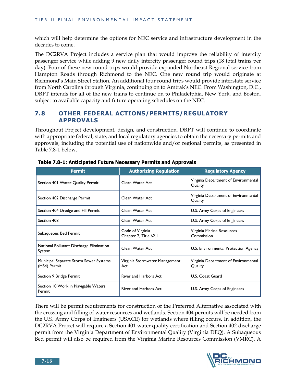which will help determine the options for NEC service and infrastructure development in the decades to come.

The DC2RVA Project includes a service plan that would improve the reliability of intercity passenger service while adding 9 new daily intercity passenger round trips (18 total trains per day). Four of these new round trips would provide expanded Northeast Regional service from Hampton Roads through Richmond to the NEC. One new round trip would originate at Richmond's Main Street Station. An additional four round trips would provide interstate service from North Carolina through Virginia, continuing on to Amtrak's NEC. From Washington, D.C., DRPT intends for all of the new trains to continue on to Philadelphia, New York, and Boston, subject to available capacity and future operating schedules on the NEC.

#### **7.8 OTHER FEDERAL ACTIONS/PERMITS/REGULATORY APPROVALS**

Throughout Project development, design, and construction, DRPT will continue to coordinate with appropriate federal, state, and local regulatory agencies to obtain the necessary permits and approvals, including the potential use of nationwide and/or regional permits, as presented in Table 7.8-1 below.

| <b>Permit</b>                                          | <b>Authorizing Regulation</b>             | <b>Regulatory Agency</b>                        |
|--------------------------------------------------------|-------------------------------------------|-------------------------------------------------|
| Section 401 Water Quality Permit                       | Clean Water Act                           | Virginia Department of Environmental<br>Quality |
| Section 402 Discharge Permit                           | Clean Water Act                           | Virginia Department of Environmental<br>Quality |
| Section 404 Dredge and Fill Permit                     | Clean Water Act                           | U.S. Army Corps of Engineers                    |
| Section 408                                            | Clean Water Act                           | U.S. Army Corps of Engineers                    |
| Subaqueous Bed Permit                                  | Code of Virginia<br>Chapter 2, Title 62.1 | Virginia Marine Resources<br>Commission         |
| National Pollutant Discharge Elimination<br>System     | Clean Water Act                           | U.S. Environmental Protection Agency            |
| Municipal Separate Storm Sewer Systems<br>(MS4) Permit | Virginia Stormwater Management<br>Act     | Virginia Department of Environmental<br>Quality |
| Section 9 Bridge Permit                                | <b>River and Harbors Act</b>              | U.S. Coast Guard                                |
| Section 10 Work in Navigable Waters<br>Permit          | <b>River and Harbors Act</b>              | U.S. Army Corps of Engineers                    |

**Table 7.8-1: Anticipated Future Necessary Permits and Approvals** 

There will be permit requirements for construction of the Preferred Alternative associated with the crossing and filling of water resources and wetlands. Section 404 permits will be needed from the U.S. Army Corps of Engineers (USACE) for wetlands where filling occurs. In addition, the DC2RVA Project will require a Section 401 water quality certification and Section 402 discharge permit from the Virginia Department of Environmental Quality (Virginia DEQ). A Subaqueous Bed permit will also be required from the Virginia Marine Resources Commission (VMRC). A